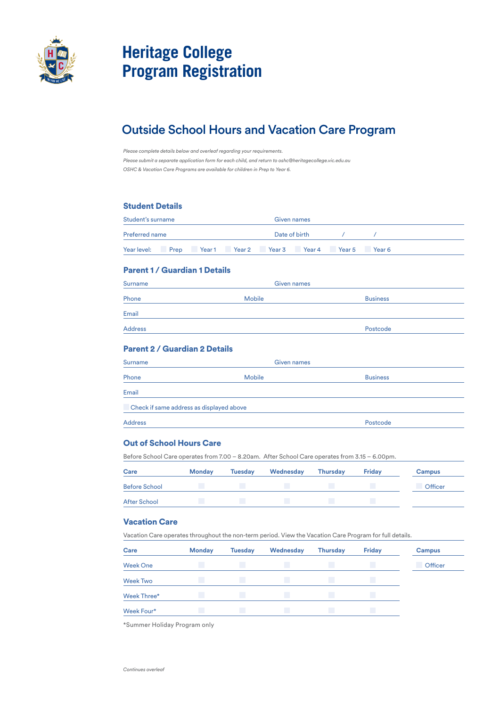

# **Heritage College Program Registration**

# Outside School Hours and Vacation Care Program

*Please complete details below and overleaf regarding your requirements. Please submit a separate application form for each child, and return to oshc@heritagecollege.vic.edu.au OSHC & Vacation Care Programs are available for children in Prep to Year 6.*

# Student Details

| Student's surname     |                                             |  | Given names   |        |  |
|-----------------------|---------------------------------------------|--|---------------|--------|--|
| <b>Preferred name</b> |                                             |  | Date of birth |        |  |
| Year level: Prep      | <b>1</b> Year 1 Year 2 Year 3 Year 4 Year 5 |  |               | Year 6 |  |

#### Parent 1 / Guardian 1 Details

| Surname        | Given names   |                 |
|----------------|---------------|-----------------|
| Phone          | <b>Mobile</b> | <b>Business</b> |
| Email          |               |                 |
| <b>Address</b> |               | Postcode        |

#### Parent 2 / Guardian 2 Details

| <b>Surname</b>                           | <b>Given names</b> |                 |
|------------------------------------------|--------------------|-----------------|
| Phone                                    | <b>Mobile</b>      | <b>Business</b> |
| Email                                    |                    |                 |
| Check if same address as displayed above |                    |                 |
| <b>Address</b>                           |                    | Postcode        |

#### Out of School Hours Care

Before School Care operates from 7.00 – 8.20am. After School Care operates from 3.15 – 6.00pm.

| Care                 | <b>Monday</b> | <b>Tuesday</b> | Wednesday | <b>Thursday</b> | <b>Friday</b> | <b>Campus</b> |
|----------------------|---------------|----------------|-----------|-----------------|---------------|---------------|
| <b>Before School</b> |               |                |           |                 |               | Officer       |
| <b>After School</b>  |               |                |           |                 |               |               |

#### Vacation Care

Vacation Care operates throughout the non-term period. View the Vacation Care Program for full details.

| Care            | <b>Monday</b> | <b>Tuesday</b> | Wednesday | <b>Thursday</b> | <b>Friday</b> | <b>Campus</b> |
|-----------------|---------------|----------------|-----------|-----------------|---------------|---------------|
| <b>Week One</b> |               | a a            | a a       | m               | L.            | Officer       |
| <b>Week Two</b> |               |                |           |                 |               |               |
| Week Three*     |               |                | m         |                 |               |               |
| Week Four*      |               | m.             | m         |                 | r.            |               |

\*Summer Holiday Program only